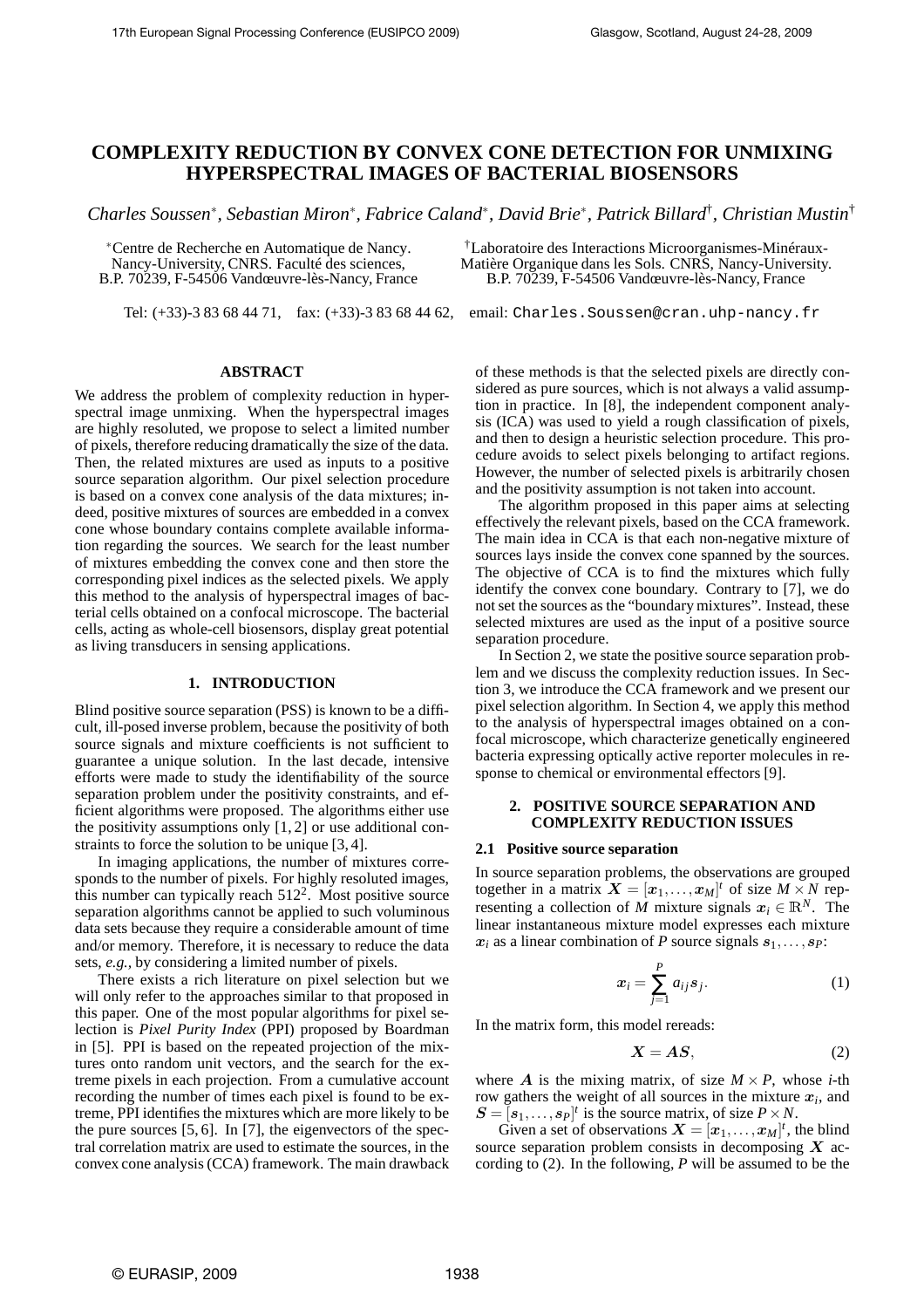# **COMPLEXITY REDUCTION BY CONVEX CONE DETECTION FOR UNMIXING HYPERSPECTRAL IMAGES OF BACTERIAL BIOSENSORS**

*Charles Soussen*<sup>∗</sup> *, Sebastian Miron*<sup>∗</sup> *, Fabrice Caland*<sup>∗</sup> *, David Brie*<sup>∗</sup> *, Patrick Billard*† *, Christian Mustin*†

<sup>∗</sup>Centre de Recherche en Automatique de Nancy. Nancy-University, CNRS. Faculté des sciences, B.P. 70239, F-54506 Vandœuvre-lès-Nancy, France

**ABSTRACT**

Tel: (+33)-3 83 68 44 71, fax: (+33)-3 83 68 44 62, email: Charles.Soussen@cran.uhp-nancy.fr

†Laboratoire des Interactions Microorganismes-Minéraux-Matière Organique dans les Sols. CNRS, Nancy-University. B.P. 70239, F-54506 Vandœuvre-lès-Nancy, France

We address the problem of complexity reduction in hyperspectral image unmixing. When the hyperspectral images are highly resoluted, we propose to select a limited number of pixels, therefore reducing dramatically the size of the data. Then, the related mixtures are used as inputs to a positive source separation algorithm. Our pixel selection procedure is based on a convex cone analysis of the data mixtures; indeed, positive mixtures of sources are embedded in a convex cone whose boundary contains complete available information regarding the sources. We search for the least number of mixtures embedding the convex cone and then store the corresponding pixel indices as the selected pixels. We apply this method to the analysis of hyperspectral images of bacterial cells obtained on a confocal microscope. The bacterial cells, acting as whole-cell biosensors, display great potential as living transducers in sensing applications.

#### **1. INTRODUCTION**

Blind positive source separation (PSS) is known to be a difficult, ill-posed inverse problem, because the positivity of both source signals and mixture coefficients is not sufficient to guarantee a unique solution. In the last decade, intensive efforts were made to study the identifiability of the source separation problem under the positivity constraints, and efficient algorithms were proposed. The algorithms either use the positivity assumptions only [1, 2] or use additional constraints to force the solution to be unique [3, 4].

In imaging applications, the number of mixtures corresponds to the number of pixels. For highly resoluted images, this number can typically reach  $512^2$ . Most positive source separation algorithms cannot be applied to such voluminous data sets because they require a considerable amount of time and/or memory. Therefore, it is necessary to reduce the data sets, *e.g.,* by considering a limited number of pixels.

There exists a rich literature on pixel selection but we will only refer to the approaches similar to that proposed in this paper. One of the most popular algorithms for pixel selection is *Pixel Purity Index* (PPI) proposed by Boardman in [5]. PPI is based on the repeated projection of the mixtures onto random unit vectors, and the search for the extreme pixels in each projection. From a cumulative account recording the number of times each pixel is found to be extreme, PPI identifies the mixtures which are more likely to be the pure sources [5, 6]. In [7], the eigenvectors of the spectral correlation matrix are used to estimate the sources, in the convex cone analysis (CCA) framework. The main drawback

of these methods is that the selected pixels are directly considered as pure sources, which is not always a valid assumption in practice. In [8], the independent component analysis (ICA) was used to yield a rough classification of pixels, and then to design a heuristic selection procedure. This procedure avoids to select pixels belonging to artifact regions. However, the number of selected pixels is arbitrarily chosen and the positivity assumption is not taken into account.

The algorithm proposed in this paper aims at selecting effectively the relevant pixels, based on the CCA framework. The main idea in CCA is that each non-negative mixture of sources lays inside the convex cone spanned by the sources. The objective of CCA is to find the mixtures which fully identify the convex cone boundary. Contrary to [7], we do not set the sources as the "boundary mixtures". Instead, these selected mixtures are used as the input of a positive source separation procedure.

In Section 2, we state the positive source separation problem and we discuss the complexity reduction issues. In Section 3, we introduce the CCA framework and we present our pixel selection algorithm. In Section 4, we apply this method to the analysis of hyperspectral images obtained on a confocal microscope, which characterize genetically engineered bacteria expressing optically active reporter molecules in response to chemical or environmental effectors [9].

### **2. POSITIVE SOURCE SEPARATION AND COMPLEXITY REDUCTION ISSUES**

#### **2.1 Positive source separation**

In source separation problems, the observations are grouped together in a matrix  $\mathbf{X} = [\mathbf{x}_1, \dots, \mathbf{x}_M]^t$  of size  $M \times N$  representing a collection of *M* mixture signals  $x_i \in \mathbb{R}^N$ . The linear instantaneous mixture model expresses each mixture  $x_i$  as a linear combination of *P* source signals  $s_1, \ldots, s_P$ :

$$
x_i = \sum_{j=1}^P a_{ij} s_j.
$$
 (1)

In the matrix form, this model rereads:

$$
X = AS,\t(2)
$$

where  $\vec{A}$  is the mixing matrix, of size  $M \times P$ , whose *i*-th row gathers the weight of all sources in the mixture  $x_i$ , and  $S = [s_1, \ldots, s_P]^t$  is the source matrix, of size  $P \times N$ .

Given a set of observations  $\mathbf{X} = [\mathbf{x}_1, \dots, \mathbf{x}_M]^t$ , the blind source separation problem consists in decomposing  $X$  according to (2). In the following, *P* will be assumed to be the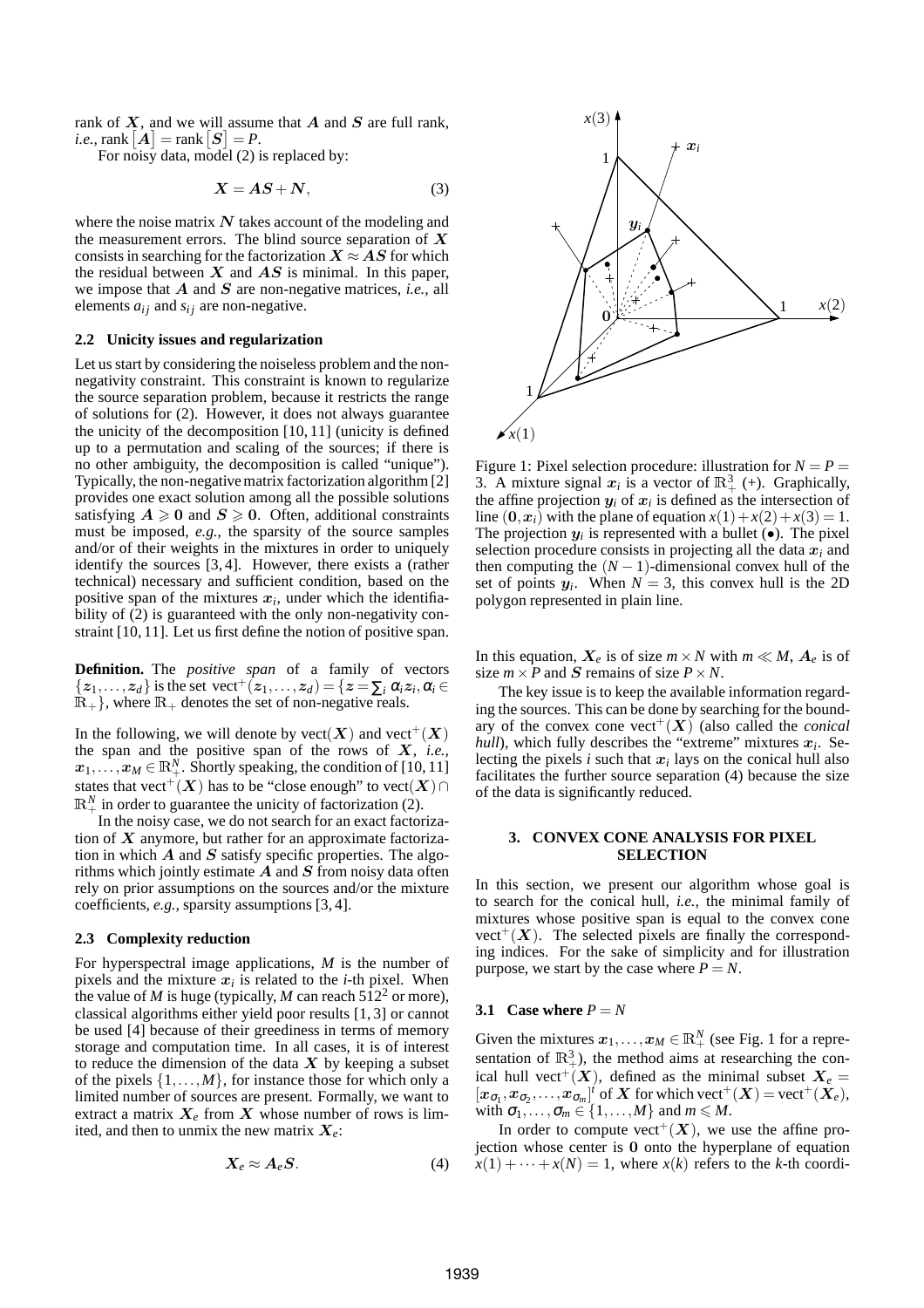rank of  $X$ , and we will assume that  $A$  and  $S$  are full rank, *i.e.*,  $\text{rank}\left[\boldsymbol{A}\right] = \text{rank}\left[\boldsymbol{S}\right] = P$ .

For noisy data, model (2) is replaced by:

$$
X = AS + N,\tag{3}
$$

where the noise matrix  $N$  takes account of the modeling and the measurement errors. The blind source separation of  $X$ consists in searching for the factorization  $X \approx AS$  for which the residual between  $X$  and  $AS$  is minimal. In this paper, we impose that A and S are non-negative matrices, *i.e.,* all elements  $a_{ij}$  and  $s_{ij}$  are non-negative.

### **2.2 Unicity issues and regularization**

Let us start by considering the noiseless problem and the nonnegativity constraint. This constraint is known to regularize the source separation problem, because it restricts the range of solutions for (2). However, it does not always guarantee the unicity of the decomposition [10, 11] (unicity is defined up to a permutation and scaling of the sources; if there is no other ambiguity, the decomposition is called "unique"). Typically, the non-negative matrix factorization algorithm [2] provides one exact solution among all the possible solutions satisfying  $A \ge 0$  and  $S \ge 0$ . Often, additional constraints must be imposed, *e.g.,* the sparsity of the source samples and/or of their weights in the mixtures in order to uniquely identify the sources [3, 4]. However, there exists a (rather technical) necessary and sufficient condition, based on the positive span of the mixtures  $x_i$ , under which the identifiability of (2) is guaranteed with the only non-negativity constraint [10, 11]. Let us first define the notion of positive span.

**Definition.** The *positive span* of a family of vectors  $\{z_1,\ldots,z_d\}$  is the set vect<sup>+</sup> $(z_1,\ldots,z_d) = \{z = \sum_i \alpha_i z_i, \alpha_i \in$  $\mathbb{R}_+$ , where  $\mathbb{R}_+$  denotes the set of non-negative reals.

In the following, we will denote by  $\text{vect}(X)$  and  $\text{vect}^+(X)$ the span and the positive span of the rows of X, *i.e.,*  $x_1, \ldots, x_M \in \mathbb{R}^N_+$ . Shortly speaking, the condition of [10, 11] states that vect<sup>+</sup>(X) has to be "close enough" to vect(X)∩  $\mathbb{R}^N_+$  in order to guarantee the unicity of factorization (2).

In the noisy case, we do not search for an exact factorization of  $X$  anymore, but rather for an approximate factorization in which  $A$  and  $S$  satisfy specific properties. The algorithms which jointly estimate  $A$  and  $S$  from noisy data often rely on prior assumptions on the sources and/or the mixture coefficients, *e.g.,* sparsity assumptions [3, 4].

### **2.3 Complexity reduction**

For hyperspectral image applications, *M* is the number of pixels and the mixture  $x_i$  is related to the *i*-th pixel. When the value of *M* is huge (typically, *M* can reach  $512<sup>2</sup>$  or more), classical algorithms either yield poor results [1, 3] or cannot be used [4] because of their greediness in terms of memory storage and computation time. In all cases, it is of interest to reduce the dimension of the data  $X$  by keeping a subset of the pixels  $\{1, \ldots, M\}$ , for instance those for which only a limited number of sources are present. Formally, we want to extract a matrix  $X_e$  from X whose number of rows is limited, and then to unmix the new matrix  $X_e$ :

$$
X_e \approx A_e S. \tag{4}
$$



Figure 1: Pixel selection procedure: illustration for  $N = P =$ 3. A mixture signal  $x_i$  is a vector of  $\mathbb{R}^3_+$  (+). Graphically, the affine projection  $y_i$  of  $x_i$  is defined as the intersection of line  $(0, x_i)$  with the plane of equation  $x(1) + x(2) + x(3) = 1$ . The projection  $y_i$  is represented with a bullet  $(\bullet)$ . The pixel selection procedure consists in projecting all the data  $x_i$  and then computing the  $(N - 1)$ -dimensional convex hull of the set of points  $y_i$ . When  $N = 3$ , this convex hull is the 2D polygon represented in plain line.

In this equation,  $X_e$  is of size  $m \times N$  with  $m \ll M$ ,  $A_e$  is of size  $m \times P$  and S remains of size  $P \times N$ .

The key issue is to keep the available information regarding the sources. This can be done by searching for the boundary of the convex cone vect<sup>+</sup> $(X)$  (also called the *conical hull*), which fully describes the "extreme" mixtures  $x_i$ . Selecting the pixels  $i$  such that  $x_i$  lays on the conical hull also facilitates the further source separation (4) because the size of the data is significantly reduced.

### **3. CONVEX CONE ANALYSIS FOR PIXEL SELECTION**

In this section, we present our algorithm whose goal is to search for the conical hull, *i.e.,* the minimal family of mixtures whose positive span is equal to the convex cone  $vect^+(X)$ . The selected pixels are finally the corresponding indices. For the sake of simplicity and for illustration purpose, we start by the case where  $P = N$ .

# **3.1** Case where  $P = N$

Given the mixtures  $x_1, \ldots, x_M \in \mathbb{R}^N_+$  (see Fig. 1 for a representation of  $\mathbb{R}^3_+$ ), the method aims at researching the conical hull vect<sup>+</sup>(X), defined as the minimal subset  $X_e$  =  $[x_{\sigma_1}, x_{\sigma_2},..., x_{\sigma_m}]^t$  of X for which vect<sup>+</sup> $(X)$  = vect<sup>+</sup> $(X_e)$ , with  $\sigma_1, \ldots, \sigma_m \in \{1, \ldots, M\}$  and  $m \leq M$ .

In order to compute vect<sup>+</sup> $(X)$ , we use the affine projection whose center is 0 onto the hyperplane of equation  $x(1) + \cdots + x(N) = 1$ , where  $x(k)$  refers to the *k*-th coordi-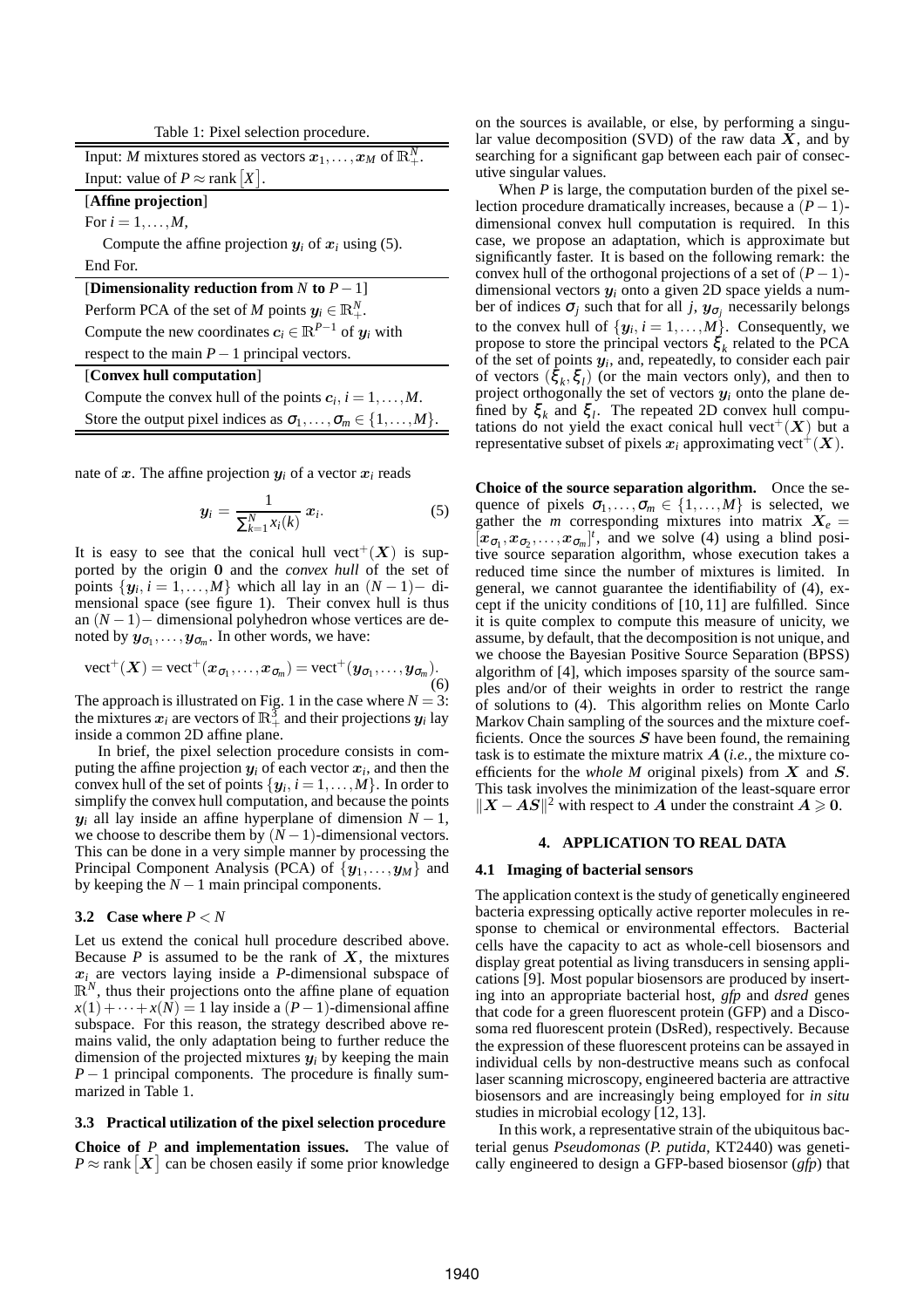| Table 1: Pixel selection procedure.                                                  |
|--------------------------------------------------------------------------------------|
| Input: M mixtures stored as vectors $x_1, \ldots, x_M$ of $\mathbb{R}^N_+$ .         |
| Input: value of $P \approx$ rank  X .                                                |
| [Affine projection]                                                                  |
| For $i=1,\ldots,M$ ,                                                                 |
| Compute the affine projection $y_i$ of $x_i$ using (5).                              |
| End For.                                                                             |
| [Dimensionality reduction from N to $P-1$ ]                                          |
| Perform PCA of the set of M points $y_i \in \mathbb{R}^N_+$ .                        |
| Compute the new coordinates $c_i \in \mathbb{R}^{P-1}$ of $y_i$ with                 |
| respect to the main $P-1$ principal vectors.                                         |
| [Convex hull computation]                                                            |
| Compute the convex hull of the points $c_i$ , $i = 1, , M$ .                         |
| Store the output pixel indices as $\sigma_1, \ldots, \sigma_m \in \{1, \ldots, M\}.$ |

nate of x. The affine projection  $y_i$  of a vector  $x_i$  reads

$$
\mathbf{y}_i = \frac{1}{\sum_{k=1}^N x_i(k)} \mathbf{x}_i. \tag{5}
$$

It is easy to see that the conical hull vect<sup>+</sup>( $X$ ) is supported by the origin 0 and the *convex hull* of the set of points  $\{y_i, i = 1, \ldots, M\}$  which all lay in an  $(N-1)$ – dimensional space (see figure 1). Their convex hull is thus an (*N* −1)− dimensional polyhedron whose vertices are denoted by  $y_{\sigma_1}, \ldots, y_{\sigma_m}$ . In other words, we have:

$$
\text{vect}^+(X) = \text{vect}^+(x_{\sigma_1}, \dots, x_{\sigma_m}) = \text{vect}^+(y_{\sigma_1}, \dots, y_{\sigma_m}).
$$
\n(6)

The approach is illustrated on Fig. 1 in the case where  $N = 3$ : the mixtures  $x_i$  are vectors of  $\mathbb{R}^3_+$  and their projections  $y_i$  lay inside a common 2D affine plane.

In brief, the pixel selection procedure consists in computing the affine projection  $y_i$  of each vector  $x_i$ , and then the convex hull of the set of points  $\{\boldsymbol{y}_i, i=1,\ldots,M\}$ . In order to simplify the convex hull computation, and because the points  $y_i$  all lay inside an affine hyperplane of dimension  $N-1$ , we choose to describe them by  $(N-1)$ -dimensional vectors. This can be done in a very simple manner by processing the Principal Component Analysis (PCA) of  $\{y_1, \ldots, y_M\}$  and by keeping the  $N-1$  main principal components.

### **3.2** Case where  $P \leq N$

Let us extend the conical hull procedure described above. Because  $P$  is assumed to be the rank of  $X$ , the mixtures x*<sup>i</sup>* are vectors laying inside a *P*-dimensional subspace of  $\mathbb{R}^N$ , thus their projections onto the affine plane of equation  $x(1) + \cdots + x(N) = 1$  lay inside a  $(P-1)$ -dimensional affine subspace. For this reason, the strategy described above remains valid, the only adaptation being to further reduce the dimension of the projected mixtures  $y_i$  by keeping the main *P* − 1 principal components. The procedure is finally summarized in Table 1.

### **3.3 Practical utilization of the pixel selection procedure**

**Choice of** *P* **and implementation issues.** The value of  $P \approx \text{rank}[\boldsymbol{X}]$  can be chosen easily if some prior knowledge

on the sources is available, or else, by performing a singular value decomposition (SVD) of the raw data  $X$ , and by searching for a significant gap between each pair of consecutive singular values.

When *P* is large, the computation burden of the pixel selection procedure dramatically increases, because a (*P*−1) dimensional convex hull computation is required. In this case, we propose an adaptation, which is approximate but significantly faster. It is based on the following remark: the convex hull of the orthogonal projections of a set of  $(P-1)$ dimensional vectors y*<sup>i</sup>* onto a given 2D space yields a number of indices  $\sigma_j$  such that for all *j*,  $y_{\sigma_j}$  necessarily belongs to the convex hull of  $\{y_i, i = 1, \ldots, M\}$ . Consequently, we propose to store the principal vectors  $\xi_k$  related to the PCA of the set of points y*<sup>i</sup>* , and, repeatedly, to consider each pair of vectors  $(\xi_k, \xi_l)$  (or the main vectors only), and then to project orthogonally the set of vectors y*<sup>i</sup>* onto the plane defined by  $\xi_k$  and  $\xi_l$ . The repeated 2D convex hull computations do not yield the exact conical hull vect<sup>+</sup>( $X$ ) but a representative subset of pixels  $x_i$  approximating vect<sup>+</sup>( $X$ ).

**Choice of the source separation algorithm.** Once the sequence of pixels  $\sigma_1, \ldots, \sigma_m \in \{1, \ldots, M\}$  is selected, we gather the *m* corresponding mixtures into matrix  $X_e$  =  $[x_{\sigma_1}, x_{\sigma_2},...,x_{\sigma_m}]^t$ , and we solve (4) using a blind positive source separation algorithm, whose execution takes a reduced time since the number of mixtures is limited. In general, we cannot guarantee the identifiability of (4), except if the unicity conditions of [10, 11] are fulfilled. Since it is quite complex to compute this measure of unicity, we assume, by default, that the decomposition is not unique, and we choose the Bayesian Positive Source Separation (BPSS) algorithm of [4], which imposes sparsity of the source samples and/or of their weights in order to restrict the range of solutions to (4). This algorithm relies on Monte Carlo Markov Chain sampling of the sources and the mixture coefficients. Once the sources  $S$  have been found, the remaining task is to estimate the mixture matrix A (*i.e.,* the mixture coefficients for the *whole M* original pixels) from X and S. This task involves the minimization of the least-square error  $||X - AS||^2$  with respect to A under the constraint  $A \ge 0$ .

# **4. APPLICATION TO REAL DATA**

#### **4.1 Imaging of bacterial sensors**

The application context is the study of genetically engineered bacteria expressing optically active reporter molecules in response to chemical or environmental effectors. Bacterial cells have the capacity to act as whole-cell biosensors and display great potential as living transducers in sensing applications [9]. Most popular biosensors are produced by inserting into an appropriate bacterial host, *gfp* and *dsred* genes that code for a green fluorescent protein (GFP) and a Discosoma red fluorescent protein (DsRed), respectively. Because the expression of these fluorescent proteins can be assayed in individual cells by non-destructive means such as confocal laser scanning microscopy, engineered bacteria are attractive biosensors and are increasingly being employed for *in situ* studies in microbial ecology [12, 13].

In this work, a representative strain of the ubiquitous bacterial genus *Pseudomonas* (*P. putida*, KT2440) was genetically engineered to design a GFP-based biosensor (*gfp*) that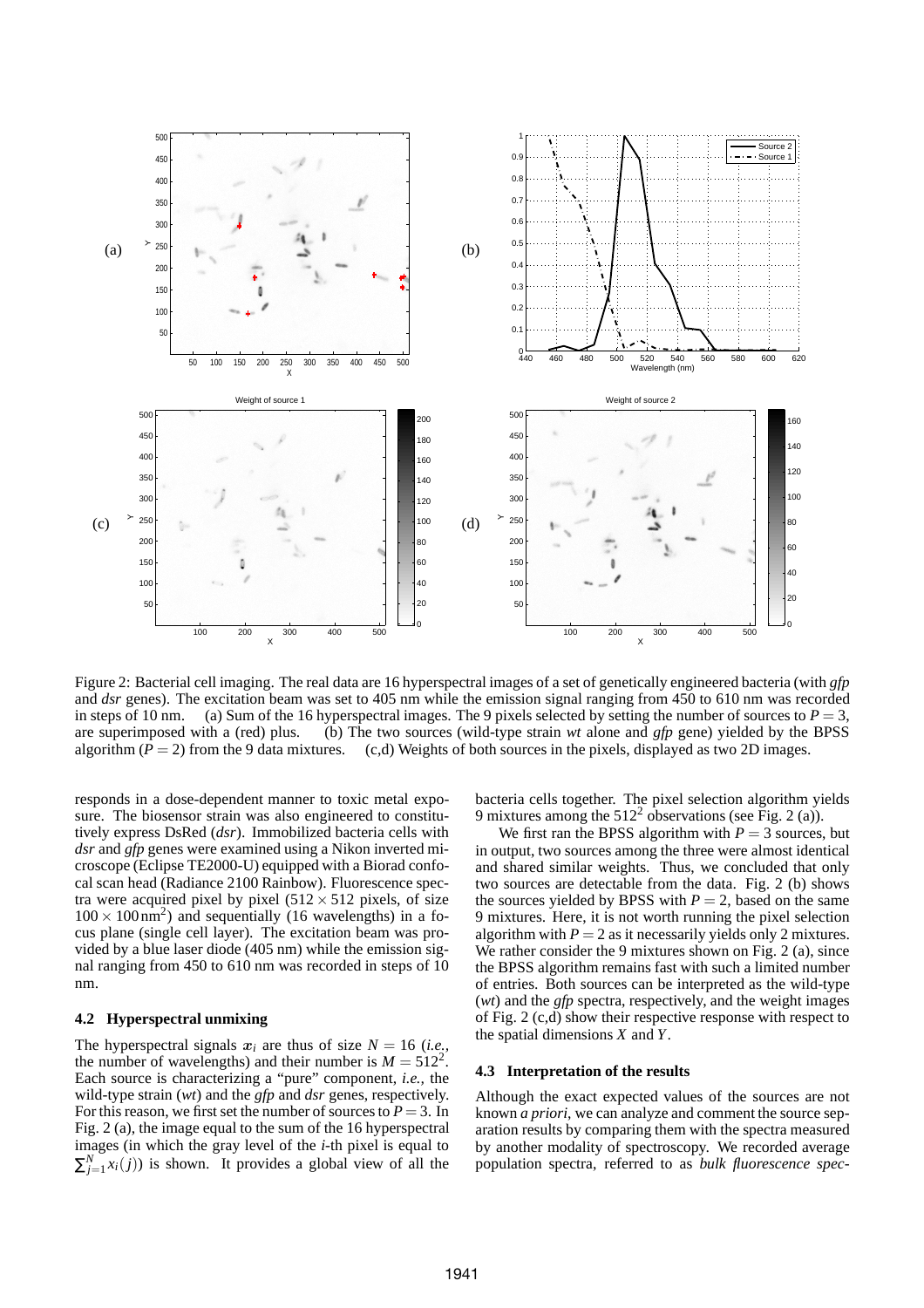

Figure 2: Bacterial cell imaging. The real data are 16 hyperspectral images of a set of genetically engineered bacteria (with *gfp* and *dsr* genes). The excitation beam was set to 405 nm while the emission signal ranging from 450 to 610 nm was recorded in steps of 10 nm. (a) Sum of the 16 hyperspectral images. The 9 pixels selected by setting the number of sources to  $P = 3$ , are superimposed with a (red) plus. (b) The two sources (wild-type strain *wt* alone and *gfp* gene) yielded by the BPSS algorithm  $(P = 2)$  from the 9 data mixtures. (c,d) Weights of both sources in the pixels, displayed as two 2D images.

responds in a dose-dependent manner to toxic metal exposure. The biosensor strain was also engineered to constitutively express DsRed (*dsr*). Immobilized bacteria cells with *dsr* and *gfp* genes were examined using a Nikon inverted microscope (Eclipse TE2000-U) equipped with a Biorad confocal scan head (Radiance 2100 Rainbow). Fluorescence spectra were acquired pixel by pixel  $(512 \times 512)$  pixels, of size  $100 \times 100 \text{ nm}^2$ ) and sequentially (16 wavelengths) in a focus plane (single cell layer). The excitation beam was provided by a blue laser diode (405 nm) while the emission signal ranging from 450 to 610 nm was recorded in steps of 10 nm.

## **4.2 Hyperspectral unmixing**

The hyperspectral signals  $x_i$  are thus of size  $N = 16$  (*i.e.*, the number of wavelengths) and their number is  $M = 512^2$ . Each source is characterizing a "pure" component, *i.e.,* the wild-type strain (*wt*) and the *gfp* and *dsr* genes, respectively. For this reason, we first set the number of sources to  $P = 3$ . In Fig. 2 (a), the image equal to the sum of the 16 hyperspectral images (in which the gray level of the *i*-th pixel is equal to  $\sum_{j=1}^{N} x_i(j)$  is shown. It provides a global view of all the

bacteria cells together. The pixel selection algorithm yields 9 mixtures among the  $512^2$  observations (see Fig. 2 (a)).

We first ran the BPSS algorithm with  $P = 3$  sources, but in output, two sources among the three were almost identical and shared similar weights. Thus, we concluded that only two sources are detectable from the data. Fig. 2 (b) shows the sources yielded by BPSS with  $P = 2$ , based on the same 9 mixtures. Here, it is not worth running the pixel selection algorithm with  $P = 2$  as it necessarily yields only 2 mixtures. We rather consider the 9 mixtures shown on Fig. 2 (a), since the BPSS algorithm remains fast with such a limited number of entries. Both sources can be interpreted as the wild-type (*wt*) and the *gfp* spectra, respectively, and the weight images of Fig. 2 (c,d) show their respective response with respect to the spatial dimensions *X* and *Y*.

#### **4.3 Interpretation of the results**

Although the exact expected values of the sources are not known *a priori*, we can analyze and comment the source separation results by comparing them with the spectra measured by another modality of spectroscopy. We recorded average population spectra, referred to as *bulk fluorescence spec-*